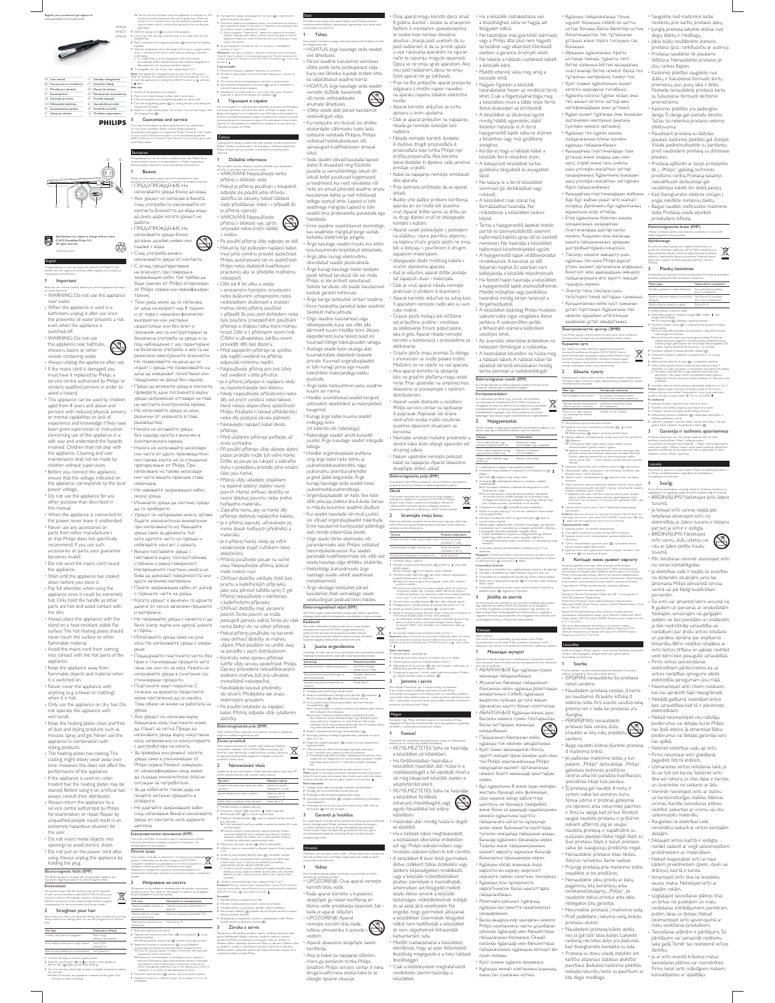#=&"# 1 \*\*\*\*\*\*\* )\*  $\overline{a}$ &" " www.philips.com/welcome

|    | FN Harmourl                  | LV Lietodia rokasmāmata            |
|----|------------------------------|------------------------------------|
|    | ВС Рыскодство за потребителя | PL Instrukcia obsłuni              |
|    | CS Příručka oro užvatele     | RO Manual de utilizare             |
|    | ET Kasususiuhend             | <b>FLJ</b> Pregnascrag помаздателя |
|    | HR Korisnički prinučnik      | SK Prinsõla uživateľa              |
|    | HU Fehagzsiki kizikony       | 51. Uporabniški priročnik          |
|    | 13. Колдондынын нурдеы       | 58 Korianički prinučnik            |
| 1T | Vartotolo vadovas            | LIC Flockberg sozuctyang.          |

UK **Nocidien KODACTYRING** the hanging loop  $(8)$ .<br>**Guarantee**  $\overline{\mathbf{3}}$ **PHILIPS** 

generated.

closing lock forwards.

leaflet. If there is no

local Philips dealer. Български

 $\mathbf{1}$ RawHo

₩

nsumer Care Centre in yo

Поздравлеване ви за покупката и добре дошли при Philips! За да CO ENSTOARESTO VISUANO OT ΠΡΑΙΔΑΣΕΝΑΤΕ ΟΤ Philips ΠΟΙΔΑΡΙΑΚΟΙ, регистрирайте изделието си на www.philps.co

до риск, дори когато уредът не рдоот...<br>ПРЕДУПРЕЖДЕНИЕ: Не

m/welco

together.

HP8324 HP8333 HP8334

Note:



## Specifications are as<br>© 2015 Koninklijke<br>All rishts reserved. subject " @()=# "(" )"@# (\$& ]: 3140 035 26357

English Congratulations on your purchase, and welcome to Philips! To fully m the suppo rt that Philips o flers, register yo ww.philips.com/wislome.<br>**1 Important**  $\mathbf{1}$ Read this user manual carefully before you use the appliance and keep it for future reference. WARNING: Do not use this appliance

near water. When the appliance is used in a bathroom, unplug it after use since the proximity of water presents a risk,

even when the appliance is switched off. WARNING: Do not use this appliance near bathtubs, showers, basins or other  $\circledcirc$ 

vessels containing water.<br>
Always unplug the appliance after use.<br>
If the mains cord is damaged, you<br>
must have it replaced by Philips, a<br>
service centre authorised by Philips<br>
similarly qualified persons in order to

avoid a hazard. This appliance can be used by children aged from 8 years and above and persons with reduced physical, sensory or mental capabilities or lack of experience and knowledge if they have<br>been given supervision or instruction<br>concerning use of the appliance in a<br>safe way and understand the hazards<br>involved. Children shall not play with<br>the appliance. Cleaning and user<br>m children without supervision. Before you connect the appliance, ensure that the voltage indicated on the appliance corresponds to the local

ensure that the voltage indicated<br>the appliance corresponds to the<br>power voltage.<br>• Do not use the appliance for any

- Do not use the applance for any<br>other purpose than described in<br>this manual.<br>- When the applance is connected to<br>the power, never leave it unattended.<br>- Never use any accessories or<br>parts from other manufacturers<br>or that

Do not wind the mains cord round<br>the appliance.

the appliance has cooled<br>
Until the appliance has cooled<br>
down before you store it.<br>
Pay full attention when using the<br>
appliance since it could be extremely<br>
hot. Only hold the handle as other<br>
parts are hot and avoid con

the skin. Always place the appliance with the  

- surface. The hot heating plates should never touch the surface or other

flammable material. Avoid the mains cord from coming into contact with the hot parts of the

appliance. Keep the appliance away from - - 

it is switched on. Never cover the appliance with anything (e.g. a towel or clothing) when it is hot.

Only use the appliance on dry hair. Do not operate the appliance with wet hands.

Keep the heating plates clean and free of dust and styling products such as mousse, spray and gel. Never use the appliance in combination with

styling products. The heating plates has coating. This

coating might slowly wear away over<br>time. However, this does not affect the<br>performance of the appliance.<br>• If the appliance is used on color-<br>treated hair, the heating plates may be

stained. Before using it on artificial hair,<br>
always consult their distributor.<br>
Always return the appliance to a<br>
service centre authorized by Philips<br>
for examination or repair. Repair by

unqualified people could result in an<br>extremely hazardous situation for<br>the user. • Do not insert metal objects into<br>openings to avoid electric shock.<br>• Do not pull on the power cord after not insert metal objects into

all all the parties also also holding the plug.<br>Electromagnetic fields (EMF)

This Philips appliance complies with all applicable standards and electro magnetic fields. Fovironment This symbol means that this product shall not be disposed  $\mathbb{\underline{R}}$ 

of with normal household waste (2012/19/EU). Follow your country's rules for the separate collection of electrical and electronic products. Correct disposal helps prevent negative consequences for the environment and human health. Q"=("#) 1 (  $\overline{ }$ 

Ensure that you select a temperature setting that is suitable for your hair. Always select a lo u use the straightener fo

R Simple Thompson Thompson Thompson Thompson Thompson (1975) Q#"")= Coarse, curly, hard-to-straighten Mid to High

Fine, medium-textured or softly waved Low to Mid (setting 4-5)

1 Connect the plug to a power supply socket.<br>2 Slide the on/off switch (() to 1 to switch on the appliance.<br>• The LED (()) lights up and starts blinking.  $3$  Turn the rheostat wheel  $(\widehat{\chi})$  to select a suitable temperature setting

for your hair. » After 60 seconds, the appliance is heated and the green LED remains on without blinking. 4 Планете замючалката ((X) надолу, за да опмючите уреда 5 Cpeuere xocata cu u xeavere xuryp, ve no-uapox or 5 cu, xa icinguan+a

r the first

=>?@JZ  $\overline{ }$ 

Jacobarte ypeua.

 $\approx$  Question cases in the reserves. • Фунадита за йонкиране се активира, когато уредьт е вокочен. Функцията дава допычнетелен бляськ и намалява ARY ARREST CONSULTED A MARKET AND A GOOD HERE A GOOD HERE A GOOD HERE A GOOD AND A CONSULTED A SCOTLE AND A GOOD AND A GOOD AND A GOOD AND A GOOD AND A GOOD AND A GOOD AND A GOOD AND A GOOD AND A GOOD AND A GOOD AND A GOOD усети специфична мирияма и да се чуе свирещ шум, което е

» The ion function activates when the appliance is switched on. The function provides additional shine and reduces frizz. When the function is on, a special odor may be smelt and a sizzling noise may be heard, which is normal and caused by the ions that are 4 Side the closing lock ((K) to unlock the appliance. 5 Comb your hair and take a section that is not wider than 5cm for 6 Place it between the straightening plates ((3) and press the handles 7 Slide the straightener down the length of the hair in a single motion (max. 5 seconds) from root to end, without stopping to prevent \* To create flicks, turn the straightener half-circle is<br>(or outwards) when it reaches the hair ends. Hold then<br>the position for 2 to 3 seconds, and then release it. create ficks, turn the straightener half-circle inwards (or outwards) when it reaches the hair ends. Hold the straightener in 8 To straighten the rest of your hair, repeat steps 5 to 7. The appliance is equipped with an auto-shut off function. After 60 minutes, the appliance switches off automatically. You can re-start the appliance by sliding the ON/OFF switch to **Q** and then<br>to **1** again.<br>**After use**: 1 Switch off the appliance and unplug it. 6 Поставете и между изгравящите пиастини ((3) и притионете 7 Планете машата за изгравне надолу по дължината на косата с едно движение (макс. 5 свеундн) от корените към краищата, без  $\bullet$  3а да сыздадете "камшенета", хавьртете машата на половин Оборот навитре (мы навы), когато достигне края на косата.  $3\mu$ докте машата в това положение за  $2\,\mu$ о  $3$  секунди и след TORS A OTTICHETE. 8 3s As ингравите останамить част от косата он, повтаряйте  $cm$ rsu or 5  $\mu$ o 7. Забележих: Този уред е снабали с функции за автоматично изкиочкане. Схад 60 менути уредат се изклочва затоматично. Можете да вклочите  $\alpha$  (see the state  $Q$  is contracted to  $\alpha$  and  $\alpha$  and  $\alpha$  and  $\alpha$  and  $\alpha$  and  $\alpha$ pui.<br>1 Casa. ynorpedia: 1 Изокочете уреда и изведете цепсена от контаста. 2 Сставете уреда върху толмоустойника повърхност, докато се COONAAN 3 Почестете уреда и изгравящите пластини с моира кърпа. 4 Застопорете изгравлците пластини ([X], като ги затворите и \{=Z\_Z=@]{@{]@\_@@\?Z> 5 | Приберете го на безопасно и сухо място без прах. Можете

2 Place it on a heat-resistant surface until it cools down. 3 Clean the appliance and straightening plates by damp cloth. 4 Lock the straightening plates (())) by closing the arms and sliding the 5 Keep it in a safe and dry place, free of dust. You can also hang it with and service If you need information e.g. about replacement of an attachment or if you have a problem, please visit the Philips website at  $\Box$  and  $\Box$  are connected to a series and connected ( $\langle \overline{A} \rangle$ ).  $\overline{\mathbf{3}}$ **Tapa** Foto се нуждаете от информация, например за замяна на приставка, ми имате пробнем, посетете уеб сайта на Philips на адрес www. philips.com/support see os odepeers saw Liavmpa sa odcrysesave va кливнти на Philips във вашата страна. Телефонният номер е посочен в международната гаранционна карта. Ако във вашата страна илка Център за обслужване на потребители, обърнете се хъм местния тыргавец на уреди на Philips

www.philips.com/support or contact the Philips Customer Care Centre in your country. The phone number is in the worldwide guarantee u Coština Gratulujeme k rukupu a vitáme Vár mezi uživateli výro Philipel Choste-I využivat všech výho ry nab Philips, zaregistrujte svůj výro ek na stránkách www.philips.co L Důležité informace

и сервиз

kû ipa lečno e)

³

ms. Преди да изполявате уреда, прочетете внимателно това рыкведство за потребители и го загаленте за стравка в бълеце.<br>• ПРЕДУПРЕЖДЕНИЕ: Не<br>използвайте уреда близо до вода. • Ако уредът се използва в банята,<br>след употреба го изключвайте от<br>контакта. Близостта до вода води Mad position sinota politically properties the uthatrice<br>shows a surfamely if yo budsuri pouths.<br>• VAROVANI: Nepoužívejte tento<br>• Pokud je přístroj používán v koupel • Pokud je přístroj používán v koupelně,<br>odpojte po použití jeho síťovou<br>zástrčku ze zásuvky, neboť blízkost<br>vody představuje riziko i v případě, že

je přístroj vypnutý.<br>• VAROVÁNÍ: Nepoužívejte<br>přístroj v blízkosti van, sprch,<br>umyvadel nebo jiných nádob s vodou.<br>• Po použití přístroj vždy odpojte ze sítě.<br>• Pokud by byl poškozen napájecí kabel,<br>musí jeho výměnu provést společnost<br>Philips, autorizovaný servis společnosti  $\circledcirc$ 

; ПРЕДУПРЕЖДЕНИЕ. Не<br>
използвайте уреда бизо<br>
до вани, душове, мивки или<br>
с-дове с вода.<br>
Сед употреба вичаги<br>
с-Сожд продерба вичаги<br>
с сождь преда от контакта.<br>
за опасност, гри повреда в<br>
задранация кабел той трибва д Philips nebo obdobně kvalifikovaní

pracovníci aby se předešlo možnému<br>nebepečí<br>- Děti od 8 let věku a osoby<br>- s omezenými fyzickými, smyslovými nebo duševními schopnosti a znalostí<br>- mezenými fyzickými, smyslovými medoutatem znáčenství a znalostí<br>- priprodu

от Philips сервиз ими квамифициран<br>теония: Поли уред може для се изполнав<br>по стадеца на въвдает над 8 години и от хора с намалени физически<br>надостатаци ими без поти ти в подними выпредстатации и без поти ти пользника.<br>по `без надзор, когато е включен в<br>"електрическата мрежа.<br>• Никога не използвайте аксесоари<br>"или части от други производители jej neponechávejte bez dozoru.<br>• Nikdy nepoužívejte příslušenství nebo<br>díly od jiných výrobců nebo takové,<br>které nebyly doporučeny společností Philips. Použijete-li takové příslušenství<br>nebo díly, pozbývá záruka platnosti.<br>• Nenavíjejte napájecí kabel okolo<br>přístroje. · Před uložením přístroje počkejte, až zcela vychladne.<br>
\* Při použití přístroje vždy dávejte dobrý<br>
pozor, protože může být velmi horký.<br>
Držte jej pouze za rukojeť a zabraňte<br>
styku s pokožkou, protože jeho ostatní<br>
části jsou horké.

> • Přístroj vždy ukládejte stojánkem na tepelně odolný, stabilní rovný<br>povrch. Horké ohřívací destičky se<br>nesmí dotýkat povrchu nebo jiného<br>hořlavého materiálu.

nemá žádný vliv na výkon přístroje.<br>Pokud přístroj používáte na barvené

Opravy provedené nekvalifikovanými<br>osobami mohou být pro uživatele mimořádně nebezpečné.<br>• Nevkládejte kovové předměty<br>• do otvorů. Předejdete tak úrazu elektrickým proudem.

tu, která o

½¶'

zaprusi přístro je. Funkce datečný lesk a redukuje zacuchání. Je-li funkce zapruta, mūžete citit zvidžtni vūni a slyšet praskani. Jedná se ende/ jev, způso 4 Presunutin zaviracho zámku ((K) přístro 5 Učelte si vlaty a k naro

> vnitř (neb ven). Po

> > ky 5 až 7.

vnávání si připravte pramen lino '·²·º

čte jej mezi deráčky žehličky vlasů ((4)) a stiskněte ruko

uvejte jednim po byb

yvajicí vlazy, o

(to joj zo s/s).

vnávací destičky (S)) zajistěte tak, že sklo

eti Philips www.philips.com/support-neb

kú Philips

předu. 5 Sóadujte jej na b ezpečném, suchém a b

mätete zivõet za zivõenou enyõu (④).<br>Záruka a servis <sub>3</sub> yste měli jakýlici

> ujete nějako u info emadi, navibivte web

péče o zásznky spo

péče o zásznky spo

aven funkci automatického vypru<br>gne. Přístroj be znovu spustit po<br>: poté opět do polohy

vnávací destičky víhlojm hadříkem.

klen (např. s výměno

di Philips neruchilal, c rafte se na

µránií přehřátí vlasů

re vyso čení, vyto uzten' ko

Pfipojte zástrðku k napájed zásuvos.<br>Posunutén vypinače (⊙) do polohy 【 přístroj zaprete.<br>1→ Kontrolka LED (①) se rozsvití a začne blikat.

a

или такива, които не са специално<br>препоръчвани от Philips. При<br>използване на такива аксесоари<br>или части вашата гаранция става<br>невалидна. Z@J[J@\_Z=@?@J@[Q]@`Z{

оло уреда. • Изчакайте уреда да изстине, преди<br>да го приберете.<br>• Уредът се нагорещява много, затова<br>бъдете изключително внимателни

.<br>Никога не оставяйте уреда

при използваето му. Хващайте<br>в дело за дружита, тъй като древни и като дрегите части са гореши и<br>избилвайте контакт са кожата.<br>В неси поставката в вругу тоглосутойчива,<br>поставката в вругу тоглосутойчива.<br>Нагорешение подг • Zabraňte tomu, aby se horké díly<br>přístroje dotknuly napájecího kabelu. • Je-li přístroj zapnutý, uchovávejte jej<br>mimo dosah hořlavých předmětů a materiálu.<br>• Je-li přístroj horký, nikdy jej ničím<br>• nezakrývejte (např. ručníkem neb<br>• oblečením). • Přístroj používejte pouze na suché vlasy. Nepoužívejte přístroj, pokud<br>máte mokré ruce.<br>• Ohřívací destičky udržujte čisté, bez<br>prachu a kadeřnických přípravků,<br>jako jsou pěnové tužidlo, sprej či gel.

• Не покривайте уреда с каквото и да<br>било (напр. кърпа или дреха), докато<br>е горещ.

+ Използвайте уреда само на суха<br>коса. Не използвайте уреда с мокри ръце. • Поддържайте пластините чисти, без<br>прах и стилизираци продукти като<br>пяна, лак или гел за коса. Никога не<br>използвайте уреда в съчетание със<br>стилизиращи продукти.<br>• Пластините имат покритие. С

течение на времето покритието<br>може постепенно да се износи.<br>Това обаче не влияе на работата на уреда.<br>• Ако уредът се използва върху

боядисана коса, пластините може<br>да станат на петна. Преди да<br>използвате уреда върху изкуствена<br>коса, непременно се консултирайте<br>с дистрибутора на косата. • За проверка или ремонт носете<br>уреда само в упълномощен от<br>Philips сервиз. Ремонт, извършен<br>от неквалифицирани лица, може

**Tento** phtro Philips o dpo

pro www.  $\overline{a}$ 

prvním po ¶³¼³
 ²¶²erte nûko u teplo b.

Tvp

1 Plipo

2 Po 3 Otičenim ko lečka reg statu (O) vyb erte nastavení teplo

6 ´

týkajícím se elektro Životní prostředi znamená, že výro

mundinim o

ör elektrických a elektro likvidad<sup>r</sup> po

Ujistite se, že jste zvo

jemné, středně neb

valle vlany » 40 sekundách je přístro  $|z$ al-Vátý a zelená ko ika LED trvale

²³³µ-'±³ **4 Funkce io** nizace je aktivo

1 Vyprvite přístro

3 Očistia přidro

2 Po ‼te ji na žáruvado vrch, do

4 Naro

je uvedeno v letáčku s celo µ± ' u. Po kud se ve vali'zemi

да създаде изкиочително опасни<br>ситуации за потребителя.<br>• За да избегнете токов удар, не<br>пьхайте метални предмети в<br>отворите.

=+==p++==<br>Не лъппайте захпанвашия кабе след използване. Винаги изключвайте<br>уреда от контакта, като държите<br>щепсела. **FANTROM2DIMTHM DNNEBUARN** (FMF)

# Тож уред на Philips е в съответствие с нормативната уредба и волно: действаци стандарти, овърхани с излагането на Z/Z/Z]DOMATHER VIS/ANSEHOR OKOAHA cocaa Таж символ авчива, че продуктыт не може да се изхвария

заедно с обноковените битови отпадкан (2012/19/EC). сыбыране на електрическите и електронните уреди. Правичното изхврляне понага за предотвратяването на  $\alpha$  дотвырални нагативни последнал за околната среда и човешкото Изпр ea. KOCATA Погрхонате се да изберете температурна настройка, поднодеща 33 BALISTA NDCA. Figus respect to continuate of our assessment as longitude of вичати избирайте ниска настройка. 7 Žehličku na vlasy po unärem do 10 (max. 5 sekund) o + Choste-il vytvořit vytoč<br>Žehličkou na vlasy půlic<br>Žehličku na vlasy v této u na vlasy půlknuh směrem do ½ 8 Choste-4 naro Poznámka: Přízro maticky vypne. Přídro ON/OFF do polohy k. použití

Tun. **Marmolan** 3 **TEAMSDONTWOOTH** Tanguu, xiwapasa, 11pyansa sa  $\text{name}(i)$ Heroia, cpeano vyrovera We were expected Ниоха до средна (настройка 4-5) Caetxa, pyca, uspyceva seus

1 BOSOVETO LUETORAL E KONTECTA  $2222"$ • Сметодноднит индикатор (Q) светка и заточка да мита 3 Завртете коленато на реостата (Q), за да неберете • Схед 60 секунди уредат е загрях и земьчит светодиоден

Eesti Orinitierne o etu puhul ja tervitame Philipsi po It! Philipsi pakutava tootetoe eeliste täielikuks kasutamiseks registreerige oma toode saidil www.philips.com/welcome.<br>**1 Tähris** L

Erne wadme kasutamist lugege wda kasutusjuhendit ho idos <sub>see edapidiseks ales.</sub><br>• HOIATUS: ärge kasutage seda seadet<br>vee läheduses. .<br>Pärast seadme kasutamist va

võtke pistik kohe pistikupesast välja,<br>kuna veel lähedus kujutab endast ohtu<br>ka väljalülitatud seadme korral.<br>• HOIATUS: ärge kasutage seda seadet<br>• vannide, duššide, basseinide

või teiste vettsisaldavate<br>
anumate läheduses.<br>
• Võtke seade alati pärast kasutamist<br>
• Vooluvõrgust välja.<br>• Kui toitejuhe on rikutud, siis ohtlike olukordade vältimiseks tuleb lasta<br>toitejuhe vahetada Philipsis, Philipsi<br>volitatud hoolduskeskuses või<br>samasugust kvalifikatsiooni omaval<br>isikul.

<sup>5</sup> Seda seadet võivad kasutada lapsed<br><sup>1</sup> puudele ja vaimbäiritetega sikud, või<br>isikud, kellel puuduvad kogemused<br>ja teadmised, kui neid vahatakse või<br>sellega seotud ohte. Lapsed ei tohi<br>seadmega mängida. Lapsed ei tohi s

............<br>.ne seadme sisselülitamist kor Finne seadme sisselülitamist kontrollige,<br>Kas seadmele märgitud pinge vastab<br>Kohaliku elektrivõrgu pingele.<br>Arge kasutage seadet muuks, kui selles<br>Kasutusjuhendis kirjeldatud otstarbeks.

• Arge jätke kunagi elektrivõrku<br>Öhendatud seadet järelevalveta × '' poolt tehtud tarvikuid või osi, mida Philips ei ole eriliselt soovitanud. Selliste tarvikute või osade kasutamisel kaotab garantii kehtivuse.

• Arge kerige toitejuhet ümber seadme.<br>• Enne hoiukohta panekut laske seadmel<br>• täielikult maha jahtuda.

- Olge seadme kastamisel väga<br>tähelepamelik kuna see võib olla<br>äärmiselt kuum. Hoidke kinni üksnes<br>käipidemest, kuna teised osad on<br>kuumad Välige kokkupuudet nahaga.<br>- Asetage seade koos alusega alati<br>- pinnale. Kuumad sir puutuda.

· Arge laske toitejuhtmel vastu seadme

kuumi osi minna.<br>• Hoidke sisselülitatud seadet kergesti<br>• süttivatest objektidest ja materjalidest kaugemal. Kunagi ärge katke kuuma seadet millegagi kinni<br>(nt käteräti või riidetükiga).<br>• Rakendage seadet ainult kuivadel<br>juustel. Ärge kasutage seadet märgade

kätega.<br>• Hoidke sirgendusplaate puhtana<br>ning ärge laske neile tolmu ja juuksevahu, piserdusvahendite<br>
ja geeli jääke koguneda. Ärge<br>
kunagi kasutage seda seadet koos<br>
kunagi kasutage seda seadet koos<br>
yüksehooldusvahenditega.<br>
Sirgendusplaatidel on kate. See kate<br>
võib pika aja jooksul ära ku

" Küi seadet kasutatuda värvitud juustel,<br>"Siis võivad sirgendusplaadid määrduda.<br>Enne kasutamist kunstjuustel pöörduge<br>"Viige seade tõrke otsimiseks või<br>"Viige seade tõrke otsimiseks või<br>tarudamiseks alati Philipsi volita

seada kasutaja väga ohtlikku olukord<br>- Elektriööigi ärahoidmiseks ärge<br>sisestage avade vahelt seadmesse<br>- sisestage avade vahelt seadmesse<br>- Ärge sikutage toitejuhet pärast<br>- Kasutamist. Alati eemaldage seade<br>- vooluvõrgus

Přístroj nepoužívejte v kombinaci<br>s kadeřnickými přípravky.<br>• Ohřívací destičky mají upravený<br>povrch. Tento povrch se může<br>postupně pomalu odírat. Tento jev však %#<br>\*\*\* rmidele.  $\underline{\mathbb{X}}$ Í
Õl tihendab et seda to det el ta hi viuta tacalide imejäätmete hulka (2012/19/EL). Järgige elektriiste ja elektro nilate to dete lahusko gumise ko halikke eeskirju. Õigel viisil kasutusest kõrvaldamine aitab ära hoida võimalikke kahjulikke tagajärgi keskko nnale ja inimese tervisele.  $\overline{ }$ luuste sirgendamine

• Pokud přístroj používáte na barvené<br>vlasy, ohřívarí destičky se mohou<br>ušpinit. Před použitím na umělé vlasy<br>se poradte s jejich distributorem.<br>\* Kontrolu nebo opravu přístroje<br>» svěřte vždy servisu společnosti Philips. lete valinud o iva temperatuuriseade. Sirgestaja esmakasutamisel valige alati madal temperatuuriseade. businessign Temperaturium de Jämedad, käharad, raskestisirgestatavad Keskmisest kõrgeni (seade 4 ja üle selle) Peenikesed, keskmise tihedusega või pehmed lainelised Madalast keskmiseni (seade 4-5) Kahvatud, blondid, blondeeritud või Madal (alla 4)

• Po použití netahejte za napájecí<br>kabel. Přístroj odpojte vždy vytažením 1 Sisestage pistik elektrivõrgu seinakontakti. 2 Seadme sisselâltamiseks lib idage sime-välja käts (0)) asendisse .  $\rightarrow$  LED-märgutuli ((i) liheb põlema ja hakkab ²' 3 Oma juustele so lus temperatuuriseade valmisaks keerake + 60 sekundi pärast o n seade kuumenenud ja põlema jälb beline LED-märgutuli ilma vilkumata.  $\rightarrow$   $\infty$ n hakkab seadme sisselültamisel tööle. Gliendaust läget ning vähendab juute

zástrčky.<br>Flektromzenetická pole (FMP) n annab sastminekut. Kui funktsio n sisse Kiltatud, võite tunda iseäralikku lõhna ning kuulda sisisevat häält. See on tavaline nähtus ning seda põhjustavad to 4 Seadme vabastamiseks libistage lukustusklambrit (Q). vidá všem platným no mán a předpisům 5 Kammige juuksed ja eraldage sirgendamiseks juuksesalk, mis po 6 Pange see sirgestamisplaatide (3) vahele ja suruge käepiderned Ā tugevasti kokku. ½¶· 7 Ülekuumenemise vältimiseks lib dpadem (2012/19/EU). Ridte se pravidly vali istage sirgestajat peaturnata (max 5 sekundit) piki juulosid juurtest juulosoo müzlete předejit negativním do padūm na živo ³ · Pústušude tegemiseks pöörake sirgendaja po o (või väljapo Narovnávání vlasů sirgendajat samas asends 2-3 sekundit ja seejärel vab

vidi valenu typu vlasi. Pfi visual Nautzword teolot» Střední až vyso '» (nastavení 4 a vyšli) ahos zviněné Nizká až střední arvené Nizké (po see. 8 Ükülinud juuste sirgendamiseks ko rrake samme 5 kuni 7 **Mirkus** wade of so minuti pârast auto maatoott välja Seadme saab uuedi sisse lültada, idades siste välja lülti atendiste @ ja teejäni uuesti atendiste .... Parass. **kasutamist** 1 Lültage seade välja ja eemaldage to ntaktiet. 2 Austage see kuumusekindiale pinnale jahtuma. 3 Puhastage seade ja sirgestusplaatid nieke lapiga

ty vho drali 4 Lukustage sirgestusplaadid (<sup>(E)</sup>, sulgedes käepidemed ja lib istades lukustusklambrit. ustage see c hutus ja kuivas to ²has. Selle võite ka riputusara (S) ati di<br>**Garantii** il üles riputada.  $\overline{\mathbf{3}}$ ja. hooldus

Kui vajate teavet, nt mõne tarviku vahetamise ko hta aga ka pro leernide rral, külastage palun Philipsi veeb või võtke ühendust o ma riigi Philipsi klienditeeninduskeskusega. Telefo rinumb ri leiate Glernaalmust: garantilishelt. Kui teie nigit ei le klenditeeninduskeskust, pöörduge Philipsi to haliku müügiesindaja po

tsteri.

le pöörde võrra

astago

nies, Seade

ida.

eti

# Hrvatski vam na kupnji i do El u Philipd Kako iste u po risti po drilicu ka ju nudi Philips, registrirajte svo uređaj na adresi

jeti. pohybem po délce vlasů.<br>Niká ke konečkům; astu (dan držte u 2 až 3 sekund. Pak ji 40 minutách sunaln přepírače phe ramena a zaviraci ezpračném míráš. Příráro u nástavce) neb u stránku ratba na di Philips ve vali'zemi. Telefo nní čido **Čestitamo** www.philips.com/welcome. L Važno htje koritenja sparata pažijvo pročtajte ovaj korierišti prinušnik i<br>spremite ga za buduće potrebe.<br>• UPOZORENJE: Ovaj aparrati nemojite koristiti blizu vode. • Kada aparat koristite u kupaonici,<br>· iskopčajte ga nakon korištenja jer<br>· blizina vode predstavlja opasnost, čak i kada je aparat isključen.<br>• UPOZORENJE: Aparat nemojte koristiti blizu kada,<br>tuševa, umivaonika ili posuda s

vodom.<br>• Aparat obavezno iskopčajte nako

' Aparat obavezno iskopčajte nakon<br>'korištenja.<br>'Ako je kabel za napajanje oštećen,<br>'mora ga zamijeniti tvrtka Philips,<br>ovlašteni Philips servisni centar ili neka<br>druga kvalificirana osoba kako bi se<br>'izbjegle opasne situa

• Ovaj aparat mogu koristiti djeca iznad<br>8 godina starosti i osobe sa smanjenim<br>fizičkim ili mentalnim sposobnostima te osobe koje nemaju dovoljno<br>iskustva i znanja, pod uvjetom da su<br>pod nadzorom ili da su primili upute<br>u vezi rukovanja aparatom na siguran<br>način te razumiju moguće opasnosti. Djeca se ne smiju igrati aparatom. Ako<br>nisu pod nadzorom, djeca ne smiju<br>čistiti aparat. niti ga održavati.<br>• Prije no što priključite aparat. provjerite<br>• odgovara li mrežni napon naveden na aparatu naponu lokalne električne

• Ha a készülék csatlakoztatva van<br>a feszültséghez, soha ne hagyja azt<br>felügyelet nélkül. • Ne használjon más gyártótól származó, vagy a Philips által jóvá nem hagyott<br>tartozékot vagy alkatrészt. Ellenkező<br>esetben a garancia érvényét veszti.<br>• Ne tekerje a hálózati csatlakozó kábelt

• Құралды пайдаланғанда толық<br>мұқият болыңыз, себебі ол қатты<br>ыстық болады. Басқа бөліктері ыстық<br>болатындықтан тек тұтқасынан<br>ұстаңыз және теріге тигізуден сақ

.<br>Saugokite, kad maitinimo laida nesiliestų prie karštų prietaiso dalių.<br>• Įjungtą prietaisą laikykite atokiai nuo<br>• degių daiktų ir medžiagų. • Jokiu būdu neuždenkite įkaitusio<br>prietaiso (pvz., rankšluosčiu ar audiniu). • Prietaisą naudokite tik plaukams<br>|išdžiūvus. Nenaudokite prietaiso, jei<br>|jūsų rankos šlapios.<br>• Kaitinimo plokštes saugokite nuo dulkių ir šukuosenai formuoti skirtų<br>priemonių, pvz., putų, lako ir želės.<br>Niekada nenaudokite prietaiso kartu<br>su šukuosenai formuoti skirtomis

priemonėmis. • Kaitinimo plokštės yra padengtos<br>• danga. Ši danga gali pamažu dėvėtis.<br>• Tačiau tai nekenkia prietaiso veikimo efektyvumui.<br>• Naudojant prietaisą su dažytais<br>plaukais, kaitinimo plokštės gali išsitepti.<br>Visada pasikonsultuokite su pardavėju<br>prieš naudodami prietaisą su dirbtiniais

 $\frac{1}{\ln n}$ 

Sis simb lis reißia, kad gaminio

elektro s ir elektro

wikata,  $\overline{2}$ 

lalyje galic jančių taisykšių kurio mis reglamentuo jamas atsicras

galima nuo neigiamo ²' apsaugo ti aplinką ir žmo ci,

Siurkštūs, garb

Švelnūs, vidutinės tekstūro s ar smaldai

jungtuméte prietaiq. + LED lemputé ((2) užsidegs ir pradeda mirksēti 3 Pasukite reo

suteikia plaukams b

6 | cisiós ja tarp tiesmimo

sakundes) nuo fakru iki galiuku ir nesusto

apsisakimo j vidų (arb a jilo re), kai pasiekuite plaukų galiukus.

atleidate. 8 ¬

3 Prietaisa ir tiesinimo

užnićtą paslinkdami į priekį. 5 Lakykite | saugio o ir sauso

kreipkités j vietinį "Philips" platinto Latviešu Apweicam ar pirkamu un laipni lūdzam Philipel Lai pilnīb

Philips pied luddi atb

www.philips.com/welcome. L Svarīgi Pirms lerices izmanto

4 Užiliauo

centra savo **Ealyje**. Telefo

Pastaba: aparato jelegta auto

7 Vienu judesiu plaukų tiesinimo

Palakykite texinimo talsa to

kvapas ir garuss atsiranda dėl jo nizacijo s - tai no erraka

temperatūrą. »

» Ä nu funkcija b us aktyvuo

5 ͺ'

 rédani sumo delius gas, pasukite tiesinto ia puse

h. haudojimo: 1 prietaisą iliunkite ir atjunkite nuo

 $\overline{\mathbf{3}}$ Primskus info macjo l'Yenikus informacijos, pur., dėl priedo pakokimo arba jei turite<br>problemų, apalenkykės "l'Philips" inklapyje admus<br>omninį suvo Talyje. Telefono rumenį rasite visame pasaulyje galiopsolos<br>omninį suvo Talyje. Telefono rumen

4 ¬

図

elektromagnetinių I<br>**Anlinko sausa** ²'

ultinėmis atlieko

Plauku tiesinimas Nustatykite jūsų plaukams tinkamą temperatūrą. Pirmą kartą naudo

prietaką, visada pasirinkite žemiauskus nustatymus. Photos

BlyBiGs, biesūs, biesinti ar dažyti Zema (8: 4) 1 julian kituka j matinimo 1zda 2 Pastumkite jungimo / *Iljungime* Lungki (1) | padet | kad

(a) sekundžių prietaisas yra kaitinamas, o

rëdami atrakinti prietaloa paslinkite užrakta (153.

rédami iltiesinti likusius plaukus, pakarto

2 Padékte ji ant karšítul ateparaus pavirtiaus, ko

kite plaukus ir atskirkite ne platesnę nei 5 cm sruo

matikai. Prietsioj galeria il naujo i jungiki ji padén Cho

Implex valykite drégna Bud

matinimo trido

akta, reģistrējet savu izstrādājumu

ugubājet to, lai vajadzībus gadījumā varētu ieskatīties tajā arī turpmāk.<br>• BRĪDINĀJUMS! Nelietojiet ierīci ūdens lietojat jerīci vannas istabā, pēc

" Ja lietošanas atvienojiet ierīci no<br>lietošanas atvienojiet ierīci no<br>elektrofikā, jo ūdens tuvums ir bīstams<br>pat tad, ja ierīce ir izslēgta.<br>PATDINĀJUMSI Nelietojiet<br>ierīci varmu, dušu izdieņu vai cituramu dušu izdienis

no sienas kontaktligzdas.<br>• Ja elektrības vads ir bojāts, lai izvairīto<br>no bīstamām situācijām, jums tas

no bīstamām situācijām, jums tas<br>jānomaina Philips pilnvarotā servisa<br>centrā vai pie līdzīgi kvalificētam personām.<br>• Šo ierīci var izmantot bērni vecumā no<br>8 gadiem un personas ar ierobežotām<br>fiziskajām, sensorajām vai garīgajām<br>spējām vai bez pieredzes un zināšanām,

γ pošim vai bez pieretes un zinkānām,<br>"no rolofijum" par droši ierīcēs lietošanu<br>un panākā izpratne par iepējamo<br>bistambu. Bērni nedroši retošķilies ar<br>veiki berinierās pieretošanas<br>vai veiki beri bez piespaņo uznaudzības

• Nekad neizmantojiet citu ražotāju<br>piederumus vai detaļas, kuras Philips<br>nav īpaši ieteicis. Ja izmantojat šādus<br>piederumus vai detaļas, garantija vairs<br>nav spēkā.

• Netrinet elektrinas vadu ap ierīci.<br>
pagaidel, līcht is attribust.<br>
19 pagaidel līcht is attribust.<br>
4. Uzmanieties ierīces lietotamas laikā, jo<br>
tā var būt joti varsta. Saturent ierīci<br>
una varsta saturent ierīci<br>
visu

• Raugieties, lai elektrības vads<br>nenonāktu saskarē ar ierīces karstajām

draingu), kad tā ir karsta.<br>'' Emantojiet ierīci tikai, lai ieveidotu<br>sausus matus Nelietojiet ierīci arī<br>sapjām rokān.<br>Uzglabājiet taisnošanas plātnes tīras<br>un brīvas no puteldiem un matu<br>veidošanas izstrādājumiem, piemēr

pārklājums var samazināt nodilumu<br>laika gaitā.Tomēr tas neietekmē ierīces darbību.<br>• Ja ar ierīci ieveido krāsotus matus,<br>taisnošanas plātnes var nosmērēties.<br>Pirms lietot ierīci mākslīgiem matiem,<br>konsultējieties ar izplatītāju.

detaļām. www.www.<br>Nelaujiet ierīcei, kad tā ir ieslēgta, nonākt saskarē ar viegli uzliesmojošiem<br>priekšmetiem un materiāliem.<br>• Nekad neapsedziet ierīci ar kaut<br>kādiem priekšmetiem (piem., dvieli vai

" \*\*\* Temperature

ti, sunkiai ilžiesinami Nuo

plaukais.<br>
plaukais. apžūrėti ar taisyti pristatykite<br>
bis į. "Philon" įgaliotąji techninės<br>
priežūros centrą. Prietaisą taisantys<br>
priežūros centrą. Prietaisą taisantys<br>
naukotoliui suleiti tin didėlį pavojų.<br>
naudoti, ne

aukai (EMF) /hilps" prietaisas atitinka visus talko

mus standartus ir no mas del

negalma ilmesti kartu su

mis (2012/19/ES). Laikykités jūsų

ratuką (Q) ir nustatykite jūsų plaukams tinkamą

¶ ) ir suspauskite rankenas.

ta, kai jangsite prietaisą. Ši funkcija

ir sumažina plaukų įsielektrinimą Kai a spraguájima. Sis

raukite žemyn (maks. 5

kita, kad plaukai nenudegtų

je padėtyje 2-3 sekundes, tada

i 60 minučių

ančio centro

Ś

 $\circledcirc$ 

a ginu lab

kite veikumus nuo £'©

vili j paditi, 1.

I je atvēs

ktteles ((I)), uždarydami rankenėles, c

je vietoje, kurioje nėra duksų. Taip pat gatte j takyti pakabing už pakabinimo kilpos (④)<br>Garantija ir techninis aptarnavimas

dami

 $\boxed{\boxtimes}$ 

)&""1>&

admittably isk a (nuo 4 iki 5 nustatymo)

žala LED lemputė

vidutinės iki aukšto (nuo 4 nustatymo)

s gaminių surinkimas. Tinkamai išmetus

болыныз.<br>`Әрқашан құрылғының тірегін<br>ыстыққа төзімді, тұрақты, тегіс<br>бетке қойыңыз. Ыстық қыздырғыш<br>пластинаш материалға тимеуі тиіс.<br>тұтанғыш материалға тимеуі тиіс.

кететін жерлеріне титізбеніз.<br>7 ғез жәны постетін заттар мен<br>хазақ тарнамдардан амыс ұстаныз.<br>Хатарнамдардан амыс ұстаныз.<br>2 құрақ қызып тұрғанда, оны ешкішіні<br>ецтеңемен жаппаныз (мысалы<br>тайдалығына БИлах қоммен<br>гқрахды

• Қыздырғыш пластиналарды таза<br>ұстаңыз және оларда шаң мен<br>мусс, спрей және гель сияқты<br>шаш үлгілерін жасайтын заттар<br>қалдырмаңыз. Құрылғыны ешқашан

шаш үлгілерін жасайтын заттармен<br>бірге пайдаланбаңыз.<br>• Қыздырғыш пластиналардың жабыны<br>бар.Бұл жабын уақыт өте жайлап<br>ескіреді. Дегенмен, бұл құрылғының ́жұмысына әсер етпейді.<br>• Егер құрылғыны боялған шашқа қолдансаңыз, қыздырғыш<br>пластиналарда дақтар қалуы<br>мүмкін. Алдымен оны жасанды шашта пайдаланыңыз, әрқашан<br>дистрибьютормен кеңесіңіз. • Тексеру немесе жөндету үшін<br>- құралды тек қана Philips рұқсат<br>- еткен қызмет орталығына апарыңыз. **Біліктілігі жоқ адамдардың** \@>@{@^jéð@î\_Zë@^è\\_è@ð>@ тудыруы мүмкін.<br>• Электр тогы соқпауы үшін,<br>тесіктерге темір заттарды салмаңыз.<br>• Қолданғаннан кейін қуат сымынан ұстап тартпаңыз. Құрылғыны ток<br>көзінен әрдайым штепсельдік ашасынан ұстап ажыратыңыз.<br>Эмектромагниттік өрістер (ЭМӨ) Осы Philips хуралы электромалниттік ерістерге қатысты барлық қолданыстағы стаңдарттар мен ережелерге сәйкес келеді.

уат сымын құрылғының қі<br>ететін жерлеріне тигізбен

• A készüléket az állvánnyal együtt<br>mindig hőálló, egyenletes, stabil<br>felületen helyezze el. A forró<br>haiegyenesítő lapok soha ne érjenek<br>a felülethez vagy más gyúlékony

anyaghoz.<br>• Kerülje el, hogy a hálózati kábel a<br>készülék forró részeihez érjen.<br>• A bekapcsot készüléket tartsa<br>gyűlékony tárgyaktól és anyagoktól<br>távol. · Ne takarja le a forró készüléket semmivel (pl. törölközővel vagy<br>ruhával).<br>• A készüléket csak száraz haj<br>formázásához használja. Ne<br>működtesse a készüléket nedves

• Tartsa a hajegyenesítő lapokat tisztán,<br>portól és szennyeződéstől, valamint<br>hajformázó habtól, spray-től és zselétől<br>mentesen. Ne használja a készüléket<br>hajformázó készítményekkel együtt.

A heyométi kipelmet kipelmet kipelmet kipelmet kipelmet kipelmet kipelmet kipelmet kipelmet kipelmet kipelmet kipelmet kipelmet kipelmet kipelmet kipelmet kipelmet kipelmet kipelmet kipelmet kipelmet kipelmet kipelmet kipe

veszélyes lehet.<br>• Az áramütés elkerülése érdekében ne<br>• Al használatot követően ne húzza meg<br>• A használatot követően ne húzza meg<br>• a hálózati kábelt. A hálózati kábel fali aljzatból történő kihúzásakor mindig

mágneses tereiow drudnyes összes

kat. A megfelelő hulladdidezelés segítelget nyújt a környezettel és az emb

eri.

Æ

é

gy a termék nem kezelhető rmál háztartási hulladdkként (2012/19/EU). Kövesse az

> s negatív következmények megelőzéséb en.

> > n alacso ny hôfa

Käzepes ds magas ediltás vagy magasab

Alacsony (4-es alatt)

ry és közepes ±³±

> e-Alkapcso âde (13)

> > '²±â'

ntızın kazdır

en a hajtípusának megfelelő hőmérsékletet válaszo

uztát (3) segbiségével válasza ki a hajának megfelelő

es fürsöt az egyenesítő lapo k ((K) közd, ds

i réiziének göndörbéséhez, ismételje meg a 5-7-es.

2 Helyezze a készüléket egy hőálló felületre, amig az ki nem hűl 3 A kézülést és a hajegyenesbő lapo

dperc eltehtivel a kılszülek felmelegedett és a LED

It funkcidt ogy jellegretes szag és egy sistergő hang

hốt a haj teljes hosszúságán, egy egyszerű<br>dpercig) a hajszálak gyökerétől a végükig a

an 2-3 máis dpercig, majd

idiunicidusi van eliátus. 60 perc i. A kıl adilek üyaindibildir. g calertano.

> øddugdt húzza ki a fali aljzatb â

kat egy nedves ruhával tisztítsa

atik cseréjével kapcso m,

> rduljo  $0.32$

me τοριδωγμι τίρκογι

rgassa el a hajegyenesítőt egy félkörrel

en megálás nékül.

r azzal a hajosilak végéhez ér.

kat (00) da a karo kat, majd csúsztassa

> µ±±an nem müködik ilyen

ridi mentes helyen táro (a. A készülők az

tsa szo ro san a csatlakozódugót. Flektromágneses mezők (FMF) Ez a Philips kelszülek az elektro

natko µâ
µványnak és előírásnak megfelel. Körnvezetvédelem dium azt jelenti, ho

 
µ±±an drvdnyes, az elektro s ds elektro nikus lahadililisek

 $\overline{a}$ Minden exetb

´± s, szőke, szőkését vagy

1 Cutlako rtaus a dugunt a tipcutisko 2 A készülők b ±
±

á ±³±  $\leftrightarrow$  60 miss

hamato ian világit.  $\rightarrow$  Az is nizáló funkció a kelezülék b

ekapcso

alzi, Mindez no mális, a termelődő io µµ±'

meg az egyenesbést. 6 Helyezze a louilarzto

\* Fortak kalaktauho

eressze ki. 8 %Ø-

Mpdraskart. **Megegyale** Akészülik automatikus kikaposzid<br>után a készülik automatikusan kikaposzi A kés<br>el a BE/KI gombot a **O**, majd visza a **1** dilád:

álóre a zárat. 5 A Mozüléket szársz és po

> gilat, fo rduljo n a Philips helyi szaküzletéhez.

Kaasoua

L .<br>м.

 $\overline{a}$ hasanálasot kövenően 1 Kapcso ija ki a kılızüldilert, du a cuatlakız

 $\overline{\mathbf{3}}$ 

hulladéklezelésére vo natio

« egésznégyei kapcsolatok negativ köve<br>2 **Hajegyenesítés** 

először használja a készüléket, válasszo

m száki, közepesen vartag vagy enyhén hultánic

 $\rightarrow$  A LED ((2) viligitani, majd villo 3 % 

> nizâlă funkciă to ²±cullo gárt ad, és kisimítja a hajat.

4 Colortana el a zárat ((§) a készülék kinyítása érdekéb 5 Fésüje át a haját, majd egy 5 cm-nél nem széleseb

7 Smitra végig a hajegyenesbőt a haj teljes ho

edulattal (max. 5 milio tümelegedés elkerülése érdeksb

efekt (vagy kifeld) amiko

A hajegyenestőt tartsa els

4 Zárja össze a hajegyenesbő lapo

Austöturska (3) függestve is tárol<br>**lótállás és szerviz** â

iára van szüksége, pl. egy tartozó

Mma merül fel a használat so rán, Mao

rlapjára www.philips.com/support vagy fo

±± z. A telefo nuslmo t megtalája a

Осы хатты сатып акуынызбен кұттықтаймыз және Philips KONTENNIQANE KOLL KINANNET PISTON VONSTAN KONANNAN TONAK ha Quaranyiyalik melindi www.philips.co

aknanat ïi/gavue xovureap arueeus oou nakuwanyaa regogyrame regorri oset lemminger perse forellekte andetene regerie petrine terrenny<br>verk certet sorieses<br>• ABAMAHHBI? Evan kapenaale cyabere

жанында пайдаланбаныз.<br>- Жуынатын бөлмеде пайдаланып<br>болғаннан кейін, құралды розеткадан<br>ажыратыңыз. Себебі, құралдың<br>өшірілген күйінде де суға жақын<br>орналасуы кәуітті болып есептеледі.<br>- АБАЙЛАҢЫЗ! Құралды ванна, душ,

бассейн немесе сумен толтырылған<br>басқа заттардың жанында

; с Пайдаланып болганнан кейін, <\*\*<br>; кұралды ток көзінен ажыраттыңыз,<br>; құуп сымы зақымданған болса,<br>; кауіпті жағдай орын аммауы үшін, оны<br> тек Philips компаниясында, Philips<br>имелер білікті мамандар ауыстыруы<br>керек.

• Бұл құрылғыны 8 және одан жоғары<br>жастағы балалар мен физикалық, сезу немесе ойлау қабілеттері<br>шектеулі, не болмаса тәжірибесі және білімі аз адамдар қадағалаумен<br>немесе құрылғыны қауіпсіз<br>пайдалануға қатысты нұсқаулар<br>алған және байланысты қауіптерді \_ç~èZ@ð>@>@\@>@{@@@{@>é Балалар құралмен ойнамауы керек.<br>Тазалау және пайдаланушының<br>қызмет көрсету жұмысын балалар<br>бақылаусыз орындамауы керек. .<br>Куралды косар алдында, онда көрсетілген кернеу жергілікті<br>кернеуге сәйкес келетінін тексерініз.<br>• Құралды осы нұсқаулықта<br>көрсетілмеген басқа мақсаттарға<br>пайдаланбаңыз. .<br>Розеткаға қосылып тұрғанда,<br>құралды еш уақытта қадағалаусы

құралды еш уақытта қадағалаусыз<br>1976-жылдың жақырында қалымдың жәнесе<br>1976-жылымдың қалымдың қанастерді<br>1976-жылымдың қосымдың қалымдың қалымдың қалымдың қалымдың және бөлшектерді<br>1976-жылымдың қаралдар мен бөлшектерді<br>19

,<br>Құралды жинап қоятынның ал<br>оның сәл суығанын күтіңіз.

Höfokbeállítás Durva szálá, göndör, vagy nehezen kiegyenesíthető haj

Ś

Konsuarau  $\overline{0}$ Šұл таңба осы өнімді қалытты тұрмыстық қалдықтен тастауға болмайтының білдіреді (2012/19/EU). Энектр жане элестрондық енімдердің қалдықтарын бөлек жинау тастау қоршаған ортаға және адам денсаулылыш тиетін =[Q>éí~Z?{Z?>èê@{>é@{^ð@]îXZ]\_Z~Z>è 5 6 4  $\overline{ }$ 

5

Шашаерлдан түріне сайкес келетін температуранан таңдағанан тексеріңік. Шаш түзеткішті алғаш пайдаланғанда, әрдайым ең темен

**HANAHATA** Катты, буйра, түкетуі қиы» — Орташада» жоғарғыға дейін (4 жане одан жоғары гараметр)

2 ïì?@{>éë<~^çjèë<~^îjè?^ë<~ëéjé ) ]çèZ

Texercian« optauara aeûe»

Taxateri (4-TEH Taxate)

Tauranona and Tauranona

Жұмсақ орташа қалыңқысты

1 Liftencesuak yaztu poseticara spoweat.

• Жарыс добды (Q) жанып, жытылыстай бастайды 3 Шашқа лайысты температураны таңдау үшін реостат деңгелегін

kapak cuprumum ngpunnanan kalima lose kocyra dionaux. **Distancements** tI3: 1 ligeway euipin, tox xesi-ex assigaturyas 2 Cher ačuon cyunteeza scraega renisul čerke opäesest 3 Йуралды және түзету тақташаларын дымом шүберектен  $4$  Тувету тасташмарын кульптау үшін ( $\Sigma$ ), тұтқаларын қысып, ëì{\é@{>éð@ë@?@~é?ðé\_éêé= 5 lingwaya week kook, koprak xake kayincis xepaa cayta sa. Orea èsatrivev (15) ikin xolora za Sorazea  $\overline{\mathbf{3}}$ 

Кепілдік және қызмет көрсету Крсьмша куралды ауыстыру силкты қаңдай да бір ақпарат керек болса немесе маселе гайда болса, Philips компаниясының www.philips.com/support ae6-ropa&e-a xipi»ja немесе ее exivjayari Philips тұтынушыларға қолдау көрсөту орталығына хабарласыныз. Teneğcei немірін дүние жүзілік кетілдік кітапшасынан табуға болады. Žrep exivisue тұтынушыларға қолдау керсету орталығы болмаса, онда жергілікті Philips компаниясының дилеріне барыныз. <sup>7</sup>jgsactis; szortriskrepre apsavas Ондруш: "Филитс Консмомер Лайфстайл Б.В.", Туссендиялен 4. 9206 A,A, Драктен, Нидерланды Ресей жэне Кедендік Одақ территориясына импорттаушы: e/Desertos Williff, Pecali, Maceey xasace, Capreli Maxees xosaeci, 13-yii,

rēdami pasinaudo

uswini joimu

ti prietaisą atidžiai perskaitykite lį varto vatova ir sugokte jį res jo gal prirekti atetyje.<br>• ĮSPĖJIMAS: nenaudokite šio prietaiso r |SPĒJ||MAS: nenaudokite šio prietaiso<br>
netoli vandens.<br>
• Naudodami prietaisą vonioje, iš karto<br>
po naudojimo ištraukite kištuką iš<br>
elektros lizdo. Arti esantis vanduo kelią<br>
grėsmę net ir tada, kai prietaisas yra<br>
grės

• PERSPĖJIMAS: nenaudokite<br>prietaiso šalia vonios, dušo,<br>kriauklės ar kitų indų, pripildytų

vandens. Brittining bilds, ji turi<br>
iš matinimo bilds, ji turi<br>
jei pažeistas matinimo bilds, ji turi<br>
paliesti "Philps" darbuotojai "Philps"<br>
galiotais techninės priežiūros<br>
specialista, kitaip byla parolys.<br>
specialista,

naudotų prietaisą, ir supažindinti su<br>susijusiais pavojais Valkai negali žaisti su<br>šiuo prietaisu. Valyti ir taisyti prietaiso<br>vaikai be suaugusiųjų priežiūros negali.<br>• Nenaudokite prietaiso kitais tikslais,<br>• Nenaudokite

• Prijungę prietaisą prie maitinimo tinklo,<br>nepalikite jo be priežiūros.<br>• Nenaudokite jokių priedų ar dalių,<br>pagamintų kitų bendrovių arba nerekomenduojamų "Philips". Jei

raudosite tokius priedus arba dalis,<br>
neblegalios jūsų garantija.<br>
• Nevyniokite prietaiso į maitinimo laidą<br>
• Prieš padėdami į laikymo vietą, leiskite<br>
• prieš padėdami į prietaisų būkite atidūs,<br>
• Naudodami prietaisą b rankeną, nes kitos dalys yra įkaitusio<br>kad išvengtumėte kontakto su oda. • Prietaisą su stovu visada statykite ant<br>| karščiui atsparaus stabilaus plokščio<br>| paviršiaus. Įkaitusios kaitinimo plokštės niekada neturėtų liestis su paviršiumi ar<br>kita degia medžiaga.

• 40 свонитан кейн құрал қызып, жасыл жарық диоды kéameranctawak, typantwi scanem typapae • Куранды кроканда, иондау функалком да юже кромлады. Бул. функция шашты жылтыратып, шатасудан сақтайды. Функция ерсулы тұрғанда, ерекше бір иіс және ысылдаған дыбыс цаагуы мумон. Бух — түзініп жатқан иснешн болатын қалыпты 4 líqosuue; qymer azy yair, xafatur qyumu (33 ceptemeses 5 Шашеннады тарат, қалыққылы 5 сантиметрден аспайтын шаш Dynamer aren, Tysene Bactares 6 Шашты тулету тақташанарының (@) арасына санып, саптарын 7 Lilau tyaetxiuti wautun doluwan tydipinen dactan tewen sapak бризмитты хозгальстен (ең кебі 5 сеңінд) тоқтаттастан (шашты \* bylpasty yaiv, usas tysittisati assatso; yason anilo atapan, eapmu we»pep iwee (vewece cupma) xapail bigaeyus. Libau  $\tau_{\rm S}$ веткішті сол қалпыңда  $2\text{-}3$  својнд ұстап тұрғаннан кейін, оны

Agase, TyCTI, Capie saturitie, Tycci Marwipinnen Hemece

 $(3)$  bypases.

**Goczma-jun.** 8 Kavrax azazna tysety yaix, 5 nex 7 apacasaana xaasvaapaa **Ескертте**. Курмилида автоматты турде өшу функциясы бар. 60 минуттан

rev, +7 495 961 1111 ïξειακρπαн Pecnyбликасында сатып алынган тауарга қатысты uaraauppus kalasusitas aasus tyve eDavet Kaazetas MIEC Манас хөшөсі, 32A, 503-хенсе, 050008, Алматы қаласы, Қазақстан, тел.

8 75 11 65 0123 Юр. лицо принишецие претензи в отношении товара, приобретенного на территории Республики Казакстан: ТОО e/Davanc Kassocraeo ya/Yasuca, 32A oğuc 503, 050008 Auustu, Kasaketak, ten, 8 75 11 65 0123 ;#"!G Svekiname jsigius "Philips" gaminį ir sveki atvyką! No

**J\*ilps' sillo** ma pagab a, užvegistruc

www.philips.com/welcome. L Svarbu Prieš pradēdami naudo

]Zèëì?@{@J\_<X@\_\_é\_ç?>ZîjZ>èï®ûæü~é?ðé\_\@~é íZ

kézzel.

'»
µÕ»''Ø » • Mielőtt eltenné, várja meg, amíg a<br>készülék lehűl. • Nagyon figyeljen a készülék<br>használatakor, hiszen az rendkívül forró<br>lehet. Csak a fogantyújánál fogja meg<br>a készüléket, mivel a többi része forró,<br>illetve óvakodjon az érintésétől.

mreže.<br>• Aparat koristite isključivo za svrhu<br>• Dok je aparat priključen na napajanje,<br>• Dok je aparat priključen na napajanje,<br>• nikada ga nemojte ostavljati bez<br>• nadzora. · Nikada nemojte koristiti do

Nikada nemojte koristiti dodatke<br>ili dijelove drugih proizvođača ili<br>proizvođača koje tvrtka Philips nije<br>izričito preporučila. Ako koristite<br>takve dodatke ili dijelove, vaše jamstvo prestaje vrijediti. • Kabel za napajanje nemojte omotavati<br>• oko aparata.<br>• Prije pohrane pričekajte da se aparat<br>• ohladi.

• Budite vrlo pažljivi prilikom korištenja<br>aparata jer on može biti izuzetno vruć. Aparat držite samo za dršku jer<br>su drugi dijelovi vrući te izbjegavajte<br>kontakt s kožom.<br>• Aparat uvijek postavljajte s postoljem<br>• Aparat uvijek postavljajte s postoljem<br>na stabilnu i ravnu površinu otpornu

na stablinu i ravnu povsînu otpomu<br>
na toplinu Vruće grijaće ploče ne smiju<br>
biti u doticaju s površinom ili drugim<br>
zapaljivim materijalom<br>
v triggavatje dodir mrežnog kabela s<br>
v trućim dijelovima aparata.<br>
v Kad je uklj prekrivati (ručnikom ili tkanino • Aparat koristite isključivo na suhoj kosi.<br>S aparatom nemojte raditi ako su vam<br>ruke mokre.

• Grijaće ploče trebaju biti očišćene<br>od prijavštine, prašine i sredstava za oblikovanje frizure poput pjene,<br>laka ili gela. Aparat nikada nemojte<br>koristiti u kombinaciji s proizvodima za

oblikovanje.<br>• Grijaće ploče imaju premaz.Ta obloga s vremenom se može polako trošiti.<br>Međutim, to ne utječe na rad aparata.<br>• Ako aparat koristite na obojanoj<br>kosi, na grijaćim pločama mogu ostati<br>kori, ne prijaćim pločama mogu ostati<br>mrlje. Prije upotrebe na umjetnoj kosi obavezno se posavjetujte s njezinim<br>distributerom.<br>• Aparat uvijek dostavite u ovlašteni<br>Pililips servisni centar na ispitivanje<br>ili popravak. Popravak od strane

nestručnih osoba može rezultirati<br>izuzetno opasnom situacijom za<br>korisnika. · Nemojte umetati metalne predmete u<br>otvore kako biste izbjegli opasnost od otvore kako bis<br>strujnog udara.<br>Nakon upotreb st o d

o

vita b

 $\cdot$  Zso

na . Nakon.

Köszönjük, ho

 $\mathbf{1}$ Fontos! A kakedak end haendata eidst figebrunun olunus ei a fehaendid<br>\*#akkönyvet, de drizen meg kileidak) haendatra.<br>\* FIGYELMEZTETÉS: Soha: ne használíja. a készüléket víz közelében.<br>• Ha fürdőszobában használja a<br>készüléket, használat után húzza ki a<br>csatlakozódugót a fali aljzatból, mivel a<br>víz még kikapcsolt készülék esetén is<br>veszélyforrást jelent. • FIGYELMEZTETES: Soha ne használja<br>a készüléket fürdőkád, zuhanyzó, mosdókagyló, vagy<br>egyéb folyadékkal teli edény közelében.<br>• Használat után mindig húzza ki dugót

ard A Philips altal b

termékét a www.philps.co

• Nakon upotrebe nemojte potezati<br>| kabel za napajanje. Aparat obavezno<br>| iskopčajte držeći utikač. Elektromagnetska polja (EMF) Ovaj aparat tvrške Philips sukladan je svim primjenjivim standardima i propisima ko<br>**Okolič** ji se tiču izlo eti elektro magnetskim po

 $\mathbb{X}$ numačuje da se pro d na smije c clagati s m iz kućanstva (2012/19/EU). Po º pro pisa svo je države o zaseb m prikupijanju električnih i elektro ničkih pro sprječavanju negativnih posljedica po okoliti iju<br>2. **Izravnajte svoju kosu** lit i ljudsko zdrade.  $\overline{ }$ 

Pazite da o vara valem tipu sa. Prilko g ka rištenja aparata za ravnanje uvijek o erite etaiku za nižu temperaturu. n. **Branning Controllers** \*\*\*\*\*\*\*\*\*\*\*\* ja se teliko rama Srednja do a. etavka 4 i vila) Tanja, mekanija ili b valo yts ko sa Mska do srednja (postavka 4 do 5) sa Niska (ispod 4) 1 Limetrite utilač u utičnicu 2 Prekidač za uključivanje/isključivanje (3) gurnite na | kako biste ddudi aparat.

 $\rightarrow$  LED indikator ((g)) će se uključiti i po četi b (eskat) 3 Closnite kp tačić o rnika (12) kako ista c ral o » ¬' n 60 sekundi aparat će se zagrijati i zeleni LED indikato čet će svjetliti. · Funkcija io ra aktivirat će se kada se aparat uključi. Ova furkcija gućuje do datni sjaj i smanjuje statički elektricitet. Kada je Ma de se c sjetiti specifičan minis i zusk. To malno µ vano 4 Gumite kvačicu za zaključavanje (IS) kako s Po delliajte ko

i nje tiri o 6 Stavite ga između plo ča za ravnanje (14) i spo to ruba. 7 Aparat za ravnanje gurajte duž ko us (maks. 5 sekundi) o ez zaustavljanja, kako as ko pregripis la kruga prema unutra (ili prema van) kada dosegne vrhove. Aparat za ramanje držite u to m po ∄aju 2 do 3 sekunde, a zatim ga el a Philips ho világszerte érvényes garancialevélen. Ha o ²²á
µ

lt, ds ūdvõabljük a Philips

z regisztrálja

tt teljes körű támo

az aljzatiol<br>
+ Ha a hálózati kábel meghibásodott,<br>
a kockázatok elkerülése érdekében<br>
azt egy Philips szakszervizben, vagy<br>
hivatalos szakszervizben ki kell cserélni,<br>
+ A készüléket 8 éven felüli gyermekek,<br>
illetve csök

szellemi képességekkel rendelkező,<br>vagy a készülék működtetésében<br>járatlan személyek is használhatják,<br>amennyiben ezt felügyelet mellett<br>teszik, illetve ismerik a készülék

biztonságos működtetésének módját<br>és az azzal járó veszélyeket. Ne<br>engedje, hogy gyermekek játsszanak<br>a készülékkel. Gyermekek felügyelet

nélkül nem tisztíthatják a készüléket<br>és nem végezhetnek felhasználói<br>karbantartást rajta.<br>• Mielőtt csatlakoztatná a készüléket,<br>• Mielőtt csatlakoztatná a készüléket,<br>• ellenőrizze, hogy az azon feltüntetett feszültség megegyezik-e a helyi hálózati.<br>feszültséggel. • Csak a kézikönyvben meghatáro<br>rendeltetés szerint használja a

készüléket.

µ tt

ldalo

otpustite. 8 Za ravnanje o statica ko se po ulte ka nka o £ Napamena: sparat ima funkciju za auto matika Isključkanje, Nako n 60 minuta da. prekidač za uključivanje/isključivanje (ON/OFF) gumete na @ i zatim vratite koriltenja 1 Islaudite aparat i islap 2 Stavite ga na po vršnu o plinu do 3 Očistia aparat i plo če za ravnanje vlažno 4 Zalijučajte plo de za ravnanje (133 tako jte i mehanizam za

zaključavanje gumete prema naprijed. 5 Čuvajte ga na sigurno m i subo m mjestu gdje nema prašine. Mo ¶ galo bjeët koriñed p<br>**- lamstvo** videći petiju za vješanje (1).  $\overline{\mathbf{3}}$ í. servis Aka zamjeni neko d nastavaka <sup>8</sup> ako imate pro lem, po qatita web stranicu turske Philips rimiðas po drilios w m listu.

državi. Bro telefo na nalazi se u međunaro Aka ²º državi ne po lače, o da turtke Philips Magyar gy Philips terméket vásáro m/welco